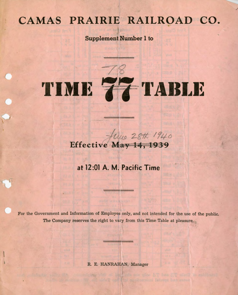## **CAMAS PRAIRIE RAILROAD CO.**

/

**Supplement Number I to** 

# *~7v*  **'11 1111~**

## Helve 28th 1940

### **at 12:01 A. M. Pacific Time**

For the Government and Information of Employes only, and not intended for the use of the public. The Company reserves the right to vary from this Time Table at pleasure.

#### R. E. HANRAHAN, Manager

offine W. on older post the similar of labour bure same

view avy hos 270 minute in rate